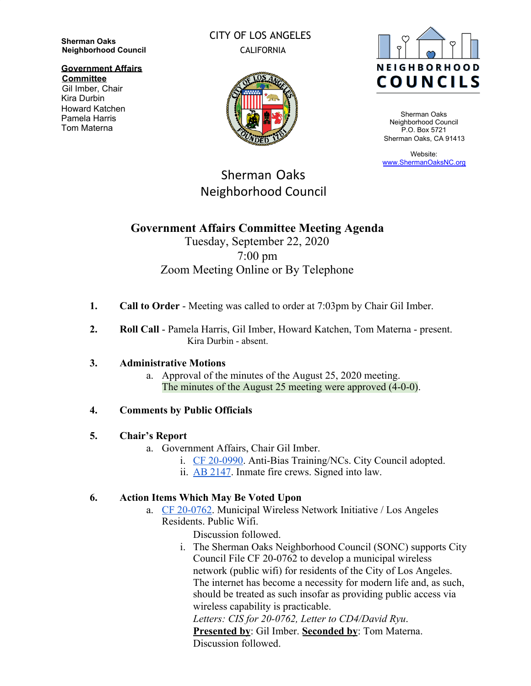**Sherman Oaks Neighborhood Council**

**Government Affairs Committee**

Gil Imber, Chair Kira Durbin Howard Katchen Pamela Harris Tom Materna

### CITY OF LOS ANGELES CALIFORNIA



Sherman Oaks Neighborhood Council P.O. Box 5721 Sherman Oaks, CA 91413

Website: [www.ShermanOaksNC.org](http://www.shermanoaksnc.org/)

# Sherman Oaks Neighborhood Council

## **Government Affairs Committee Meeting Agenda**

# Tuesday, September 22, 2020 7:00 pm Zoom Meeting Online or By Telephone

- **1. Call to Order** Meeting was called to order at 7:03pm by Chair Gil Imber.
- **2. Roll Call** Pamela Harris, Gil Imber, Howard Katchen, Tom Materna present. Kira Durbin - absent.

### **3. Administrative Motions**

- a. Approval of the minutes of the August 25, 2020 meeting. The minutes of the August 25 meeting were approved (4-0-0).
- **4. Comments by Public Officials**

### **5. Chair's Report**

- a. Government Affairs, Chair Gil Imber.
	- i. [CF 20-0990](https://cityclerk.lacity.org/lacityclerkconnect/index.cfm?fa=ccfi.viewrecord&cfnumber=20-0990). Anti-Bias Training/NCs. City Council adopted.
	- ii. [AB 2147](https://www.gov.ca.gov/2020/09/11/governor-newsom-signs-bill-eliminating-barriers-that-block-former-inmate-fire-crews-from-becoming-career-firefighters-after-serving-their-sentences/). Inmate fire crews. Signed into law.

### **6. Action Items Which May Be Voted Upon**

- a. [CF 20-0762](https://cityclerk.lacity.org/lacityclerkconnect/index.cfm?fa=ccfi.viewrecord&cfnumber=20-0762). Municipal Wireless Network Initiative / Los Angeles Residents. Public Wifi.
	- Discussion followed.
	- i. The Sherman Oaks Neighborhood Council (SONC) supports City Council File CF 20-0762 to develop a municipal wireless network (public wifi) for residents of the City of Los Angeles. The internet has become a necessity for modern life and, as such, should be treated as such insofar as providing public access via wireless capability is practicable.

*Letters: CIS for 20-0762, Letter to CD4/David Ryu*. **Presented by**: Gil Imber. **Seconded by**: Tom Materna. Discussion followed.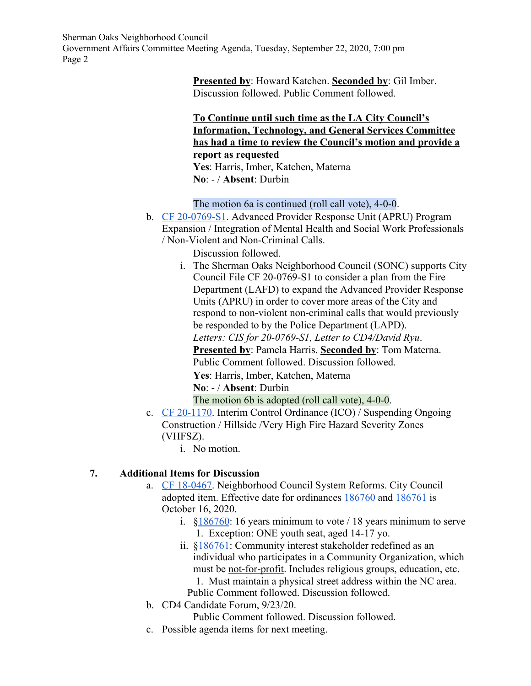Sherman Oaks Neighborhood Council

Government Affairs Committee Meeting Agenda, Tuesday, September 22, 2020, 7:00 pm Page 2

> **Presented by**: Howard Katchen. **Seconded by**: Gil Imber. Discussion followed. Public Comment followed.

### **To Continue until such time as the LA City Council's Information, Technology, and General Services Committee has had a time to review the Council's motion and provide a report as requested**

**Yes**: Harris, Imber, Katchen, Materna **No**: - / **Absent**: Durbin

### The motion 6a is continued (roll call vote), 4-0-0.

b. [CF 20-0769-S1](https://cityclerk.lacity.org/lacityclerkconnect/index.cfm?fa=ccfi.viewrecord&cfnumber=20-0769-S1). Advanced Provider Response Unit (APRU) Program Expansion / Integration of Mental Health and Social Work Professionals / Non-Violent and Non-Criminal Calls.

Discussion followed.

i. The Sherman Oaks Neighborhood Council (SONC) supports City Council File CF 20-0769-S1 to consider a plan from the Fire Department (LAFD) to expand the Advanced Provider Response Units (APRU) in order to cover more areas of the City and respond to non-violent non-criminal calls that would previously be responded to by the Police Department (LAPD).

*Letters: CIS for 20-0769-S1, Letter to CD4/David Ryu*.

**Presented by**: Pamela Harris. **Seconded by**: Tom Materna.

Public Comment followed. Discussion followed.

**Yes**: Harris, Imber, Katchen, Materna

**No**: - / **Absent**: Durbin

The motion 6b is adopted (roll call vote), 4-0-0.

- c. [CF 20-1170](https://cityclerk.lacity.org/lacityclerkconnect/index.cfm?fa=ccfi.viewrecord&cfnumber=20-1170). Interim Control Ordinance (ICO) / Suspending Ongoing Construction / Hillside /Very High Fire Hazard Severity Zones (VHFSZ).
	- i. No motion.

### **7. Additional Items for Discussion**

- a. [CF 18-0467](https://cityclerk.lacity.org/lacityclerkconnect/index.cfm?fa=ccfi.viewrecord&cfnumber=18-0467). Neighborhood Council System Reforms. City Council adopted item. Effective date for ordinances [186760](https://clkrep.lacity.org/onlinedocs/2018/18-0467_ORD_186760_10-16-2020.pdf) and [186761](https://clkrep.lacity.org/onlinedocs/2018/18-0467_ORD_186761_10-16-2020.pdf) is October 16, 2020.
	- i. §[186760:](https://clkrep.lacity.org/onlinedocs/2018/18-0467_ORD_186760_10-16-2020.pdf) 16 years minimum to vote / 18 years minimum to serve 1. Exception: ONE youth seat, aged 14-17 yo.
	- ii. §[186761:](https://clkrep.lacity.org/onlinedocs/2018/18-0467_ORD_186761_10-16-2020.pdf) Community interest stakeholder redefined as an individual who participates in a Community Organization, which must be not-for-profit. Includes religious groups, education, etc.
		- 1. Must maintain a physical street address within the NC area. Public Comment followed. Discussion followed.
- b. CD4 Candidate Forum, 9/23/20.

Public Comment followed. Discussion followed.

c. Possible agenda items for next meeting.